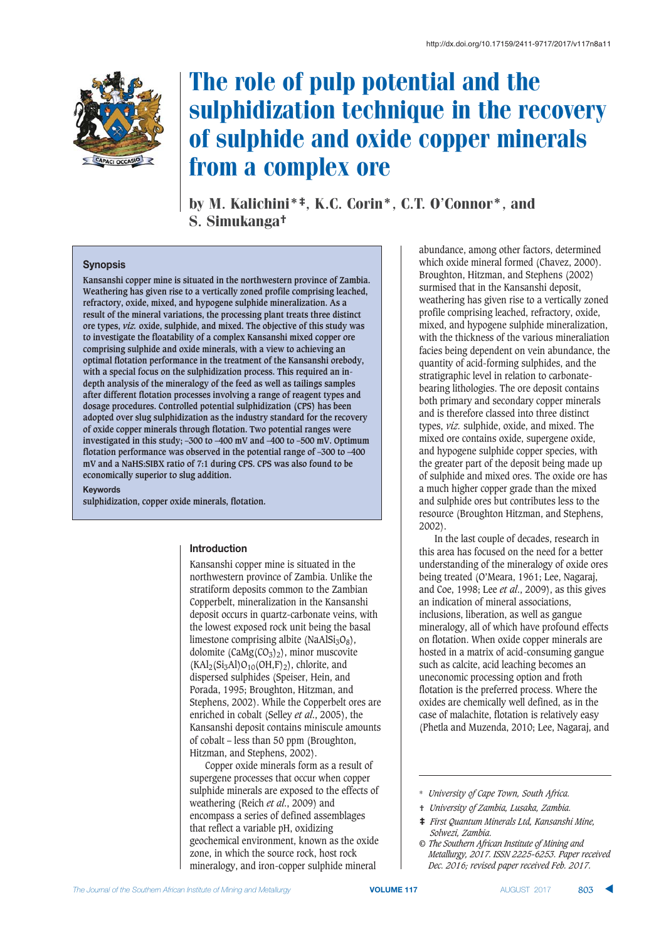

# The role of pulp potential and the sulphidization technique in the recovery of sulphide and oxide copper minerals from a complex ore

by M. Kalichini\*‡, K.C. Corin\*, C.T. O'Connor\*, and S. Simukanga†

## **Synopsis**

**Kansanshi copper mine is situated in the northwestern province of Zambia. Weathering has given rise to a vertically zoned profile comprising leached, refractory, oxide, mixed, and hypogene sulphide mineralization. As a result of the mineral variations, the processing plant treats three distinct ore types,** *viz.* **oxide, sulphide, and mixed. The objective of this study was to investigate the floatability of a complex Kansanshi mixed copper ore comprising sulphide and oxide minerals, with a view to achieving an optimal flotation performance in the treatment of the Kansanshi orebody, with a special focus on the sulphidization process. This required an indepth analysis of the mineralogy of the feed as well as tailings samples after different flotation processes involving a range of reagent types and dosage procedures. Controlled potential sulphidization (CPS) has been adopted over slug sulphidization as the industry standard for the recovery of oxide copper minerals through flotation. Two potential ranges were investigated in this study; –300 to –400 mV and –400 to –500 mV. Optimum flotation performance was observed in the potential range of –300 to –400 mV and a NaHS:SIBX ratio of 7:1 during CPS. CPS was also found to be economically superior to slug addition.**

**Keywords** 

**sulphidization, copper oxide minerals, flotation.** 

#### **Introduction**

Kansanshi copper mine is situated in the northwestern province of Zambia. Unlike the stratiform deposits common to the Zambian Copperbelt, mineralization in the Kansanshi deposit occurs in quartz-carbonate veins, with the lowest exposed rock unit being the basal limestone comprising albite (NaAlSi<sub>3</sub>O<sub>8</sub>), dolomite ( $CaMg(CO_3)_{2}$ ), minor muscovite  $(KAl<sub>2</sub>(Si<sub>3</sub>Al)O<sub>10</sub>(OH,F)<sub>2</sub>),$  chlorite, and dispersed sulphides (Speiser, Hein, and Porada, 1995; Broughton, Hitzman, and Stephens, 2002). While the Copperbelt ores are enriched in cobalt (Selley *et al*., 2005), the Kansanshi deposit contains miniscule amounts of cobalt – less than 50 ppm (Broughton, Hitzman, and Stephens, 2002).

Copper oxide minerals form as a result of supergene processes that occur when copper sulphide minerals are exposed to the effects of weathering (Reich *et al*., 2009) and encompass a series of defined assemblages that reflect a variable pH, oxidizing geochemical environment, known as the oxide zone, in which the source rock, host rock mineralogy, and iron-copper sulphide mineral

abundance, among other factors, determined which oxide mineral formed (Chavez, 2000). Broughton, Hitzman, and Stephens (2002) surmised that in the Kansanshi deposit, weathering has given rise to a vertically zoned profile comprising leached, refractory, oxide, mixed, and hypogene sulphide mineralization, with the thickness of the various mineraliation facies being dependent on vein abundance, the quantity of acid-forming sulphides, and the stratigraphic level in relation to carbonatebearing lithologies. The ore deposit contains both primary and secondary copper minerals and is therefore classed into three distinct types, *viz.* sulphide, oxide, and mixed. The mixed ore contains oxide, supergene oxide, and hypogene sulphide copper species, with the greater part of the deposit being made up of sulphide and mixed ores. The oxide ore has a much higher copper grade than the mixed and sulphide ores but contributes less to the resource (Broughton Hitzman, and Stephens, 2002).

In the last couple of decades, research in this area has focused on the need for a better understanding of the mineralogy of oxide ores being treated (O'Meara, 1961; Lee, Nagaraj, and Coe, 1998; Lee *et al*., 2009), as this gives an indication of mineral associations, inclusions, liberation, as well as gangue mineralogy, all of which have profound effects on flotation. When oxide copper minerals are hosted in a matrix of acid-consuming gangue such as calcite, acid leaching becomes an uneconomic processing option and froth flotation is the preferred process. Where the oxides are chemically well defined, as in the case of malachite, flotation is relatively easy (Phetla and Muzenda, 2010; Lee, Nagaraj, and

- † *University of Zambia, Lusaka, Zambia.*
- ‡ *First Quantum Minerals Ltd, Kansanshi Mine, Solwezi, Zambia.*
- *© The Southern African Institute of Mining and Metallurgy, 2017. ISSN 2225-6253. Paper received Dec. 2016; revised paper received Feb. 2017.*

<sup>\*</sup> *University of Cape Town, South Africa.*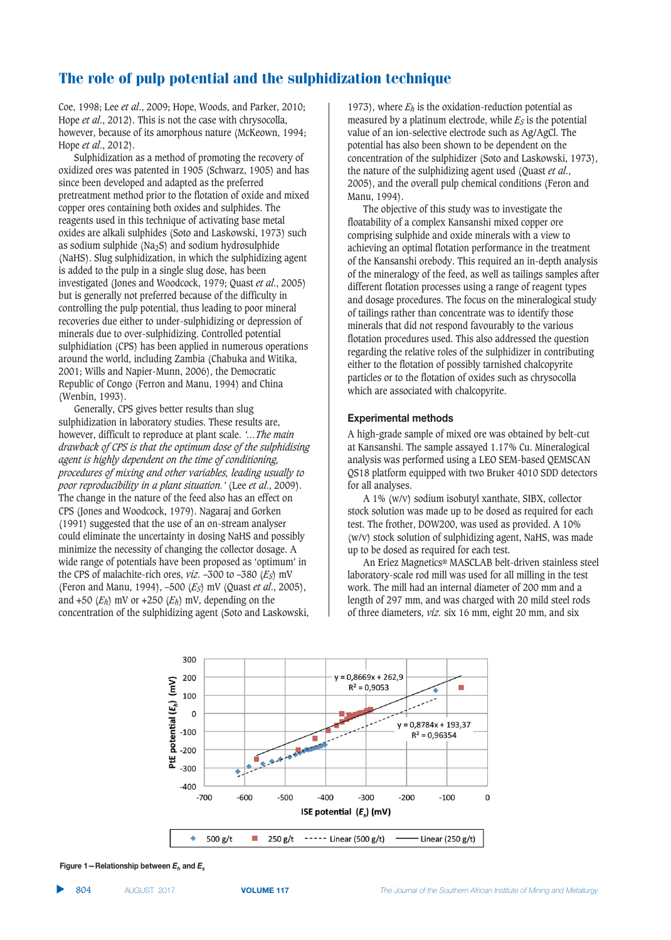Coe, 1998; Lee *et al*., 2009; Hope, Woods, and Parker, 2010; Hope *et al*., 2012). This is not the case with chrysocolla, however, because of its amorphous nature (McKeown, 1994; Hope *et al*., 2012).

Sulphidization as a method of promoting the recovery of oxidized ores was patented in 1905 (Schwarz, 1905) and has since been developed and adapted as the preferred pretreatment method prior to the flotation of oxide and mixed copper ores containing both oxides and sulphides. The reagents used in this technique of activating base metal oxides are alkali sulphides (Soto and Laskowski, 1973) such as sodium sulphide (Na<sub>2</sub>S) and sodium hydrosulphide (NaHS). Slug sulphidization, in which the sulphidizing agent is added to the pulp in a single slug dose, has been investigated (Jones and Woodcock, 1979; Quast *et al*., 2005) but is generally not preferred because of the difficulty in controlling the pulp potential, thus leading to poor mineral recoveries due either to under-sulphidizing or depression of minerals due to over-sulphidizing. Controlled potential sulphidiation (CPS) has been applied in numerous operations around the world, including Zambia (Chabuka and Witika, 2001; Wills and Napier-Munn, 2006), the Democratic Republic of Congo (Ferron and Manu, 1994) and China (Wenbin, 1993).

Generally, CPS gives better results than slug sulphidization in laboratory studies. These results are, however, difficult to reproduce at plant scale. *'…The main drawback of CPS is that the optimum dose of the sulphidising agent is highly dependent on the time of conditioning, procedures of mixing and other variables, leading usually to poor reproducibility in a plant situation.'* (Lee *et al*., 2009). The change in the nature of the feed also has an effect on CPS (Jones and Woodcock, 1979). Nagaraj and Gorken (1991) suggested that the use of an on-stream analyser could eliminate the uncertainty in dosing NaHS and possibly minimize the necessity of changing the collector dosage. A wide range of potentials have been proposed as 'optimum' in the CPS of malachite-rich ores, *viz.* –300 to –380 (*ES*) mV (Feron and Manu, 1994), –500 (*ES*) mV (Quast *et al*., 2005), and  $+50$  ( $E_h$ ) mV or  $+250$  ( $E_h$ ) mV, depending on the concentration of the sulphidizing agent (Soto and Laskowski,

1973), where *Eh* is the oxidation-reduction potential as measured by a platinum electrode, while  $E<sub>S</sub>$  is the potential value of an ion-selective electrode such as Ag/AgCl. The potential has also been shown to be dependent on the concentration of the sulphidizer (Soto and Laskowski, 1973), the nature of the sulphidizing agent used (Quast *et al*., 2005), and the overall pulp chemical conditions (Feron and Manu, 1994).

The objective of this study was to investigate the floatability of a complex Kansanshi mixed copper ore comprising sulphide and oxide minerals with a view to achieving an optimal flotation performance in the treatment of the Kansanshi orebody. This required an in-depth analysis of the mineralogy of the feed, as well as tailings samples after different flotation processes using a range of reagent types and dosage procedures. The focus on the mineralogical study of tailings rather than concentrate was to identify those minerals that did not respond favourably to the various flotation procedures used. This also addressed the question regarding the relative roles of the sulphidizer in contributing either to the flotation of possibly tarnished chalcopyrite particles or to the flotation of oxides such as chrysocolla which are associated with chalcopyrite.

## **Experimental methods**

A high-grade sample of mixed ore was obtained by belt-cut at Kansanshi. The sample assayed 1.17% Cu. Mineralogical analysis was performed using a LEO SEM-based QEMSCAN QS18 platform equipped with two Bruker 4010 SDD detectors for all analyses.

A 1% (w/v) sodium isobutyl xanthate, SIBX, collector stock solution was made up to be dosed as required for each test. The frother, DOW200, was used as provided. A 10% (w/v) stock solution of sulphidizing agent, NaHS, was made up to be dosed as required for each test.

An Eriez Magnetics® MASCLAB belt-driven stainless steel laboratory-scale rod mill was used for all milling in the test work. The mill had an internal diameter of 200 mm and a length of 297 mm, and was charged with 20 mild steel rods of three diameters, *viz.* six 16 mm, eight 20 mm, and six



**Figure 1–Relationship between**  $E<sub>k</sub>$  **and**  $E<sub>k</sub>$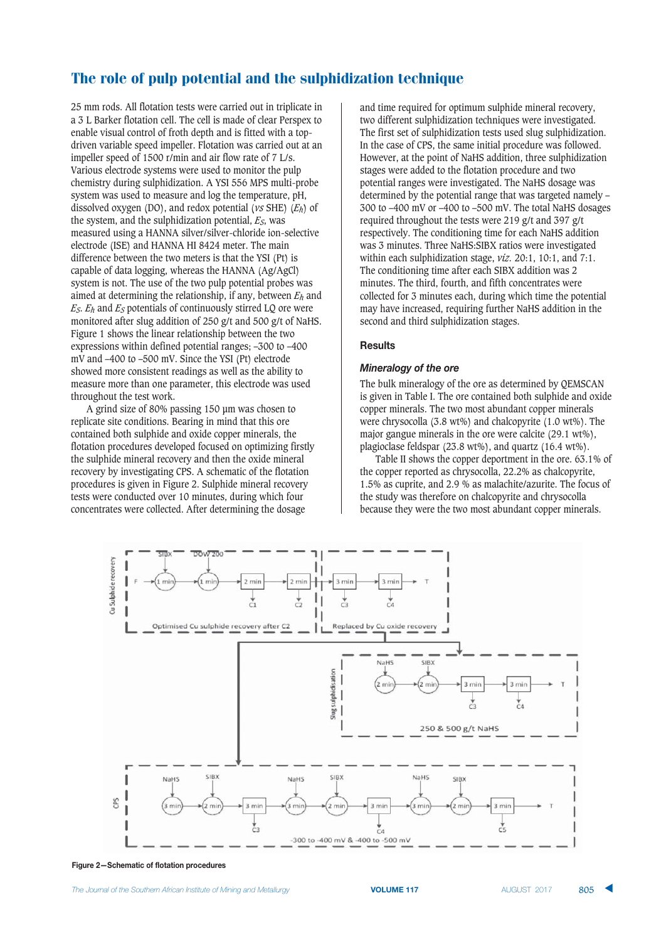25 mm rods. All flotation tests were carried out in triplicate in a 3 L Barker flotation cell. The cell is made of clear Perspex to enable visual control of froth depth and is fitted with a topdriven variable speed impeller. Flotation was carried out at an impeller speed of 1500 r/min and air flow rate of 7 L/s. Various electrode systems were used to monitor the pulp chemistry during sulphidization. A YSI 556 MPS multi-probe system was used to measure and log the temperature, pH, dissolved oxygen (DO), and redox potential (*vs* SHE) (*Eh*) of the system, and the sulphidization potential, *ES*, was measured using a HANNA silver/silver-chloride ion-selective electrode (ISE) and HANNA HI 8424 meter. The main difference between the two meters is that the YSI (Pt) is capable of data logging, whereas the HANNA (Ag/AgCl) system is not. The use of the two pulp potential probes was aimed at determining the relationship, if any, between *Eh* and *ES*. *Eh* and *ES* potentials of continuously stirred LQ ore were monitored after slug addition of 250 g/t and 500 g/t of NaHS. Figure 1 shows the linear relationship between the two expressions within defined potential ranges; –300 to –400 mV and –400 to –500 mV. Since the YSI (Pt) electrode showed more consistent readings as well as the ability to measure more than one parameter, this electrode was used throughout the test work.

A grind size of 80% passing 150 μm was chosen to replicate site conditions. Bearing in mind that this ore contained both sulphide and oxide copper minerals, the flotation procedures developed focused on optimizing firstly the sulphide mineral recovery and then the oxide mineral recovery by investigating CPS. A schematic of the flotation procedures is given in Figure 2. Sulphide mineral recovery tests were conducted over 10 minutes, during which four concentrates were collected. After determining the dosage

and time required for optimum sulphide mineral recovery, two different sulphidization techniques were investigated. The first set of sulphidization tests used slug sulphidization. In the case of CPS, the same initial procedure was followed. However, at the point of NaHS addition, three sulphidization stages were added to the flotation procedure and two potential ranges were investigated. The NaHS dosage was determined by the potential range that was targeted namely – 300 to –400 mV or –400 to –500 mV. The total NaHS dosages required throughout the tests were 219 g/t and 397 g/t respectively. The conditioning time for each NaHS addition was 3 minutes. Three NaHS:SIBX ratios were investigated within each sulphidization stage, *viz.* 20:1, 10:1, and 7:1. The conditioning time after each SIBX addition was 2 minutes. The third, fourth, and fifth concentrates were collected for 3 minutes each, during which time the potential may have increased, requiring further NaHS addition in the second and third sulphidization stages.

## **Results**

#### 

The bulk mineralogy of the ore as determined by QEMSCAN is given in Table I. The ore contained both sulphide and oxide copper minerals. The two most abundant copper minerals were chrysocolla (3.8 wt%) and chalcopyrite (1.0 wt%). The major gangue minerals in the ore were calcite (29.1 wt%), plagioclase feldspar (23.8 wt%), and quartz (16.4 wt%).

Table II shows the copper deportment in the ore. 63.1% of the copper reported as chrysocolla, 22.2% as chalcopyrite, 1.5% as cuprite, and 2.9 % as malachite/azurite. The focus of the study was therefore on chalcopyrite and chrysocolla because they were the two most abundant copper minerals.



**Figure 2-Schematic of flotation procedures**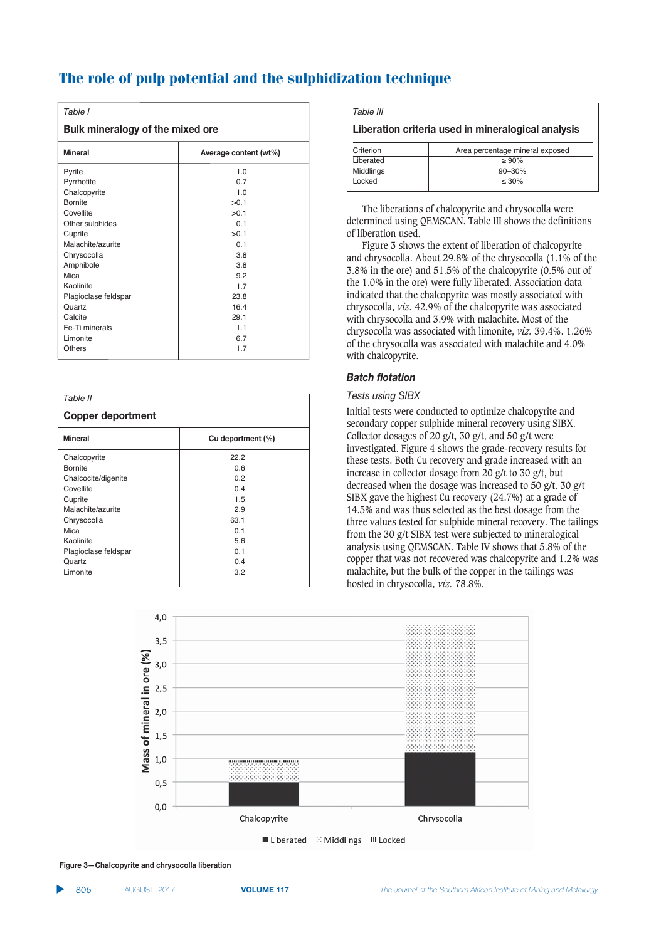| Table I                          |                       |  |
|----------------------------------|-----------------------|--|
| Bulk mineralogy of the mixed ore |                       |  |
| <b>Mineral</b>                   | Average content (wt%) |  |
| Pyrite                           | 1.0                   |  |
| Pyrrhotite                       | 0.7                   |  |
| Chalcopyrite                     | 1.0                   |  |
| <b>Bornite</b>                   | >0.1                  |  |
| Covellite                        | >0.1                  |  |
| Other sulphides                  | 0 <sub>1</sub>        |  |
| Cuprite                          | >0.1                  |  |
| Malachite/azurite                | 0.1                   |  |
| Chrysocolla                      | 3.8                   |  |
| Amphibole                        | 3.8                   |  |
| Mica                             | 9.2                   |  |
| Kaolinite                        | 1.7                   |  |
| Plagioclase feldspar             | 23.8                  |  |
| Quartz                           | 16.4                  |  |
| Calcite                          | 29.1                  |  |
| Fe-Ti minerals                   | 11                    |  |
| Limonite                         | 6.7                   |  |
| Others                           | 1.7                   |  |

| Table II<br><b>Copper deportment</b> |      |  |
|--------------------------------------|------|--|
|                                      |      |  |
| Chalcopyrite                         | 22.2 |  |
| Bornite                              | 0.6  |  |
| Chalcocite/digenite                  | 0.2  |  |
| Covellite                            | 0.4  |  |
| Cuprite                              | 1.5  |  |
| Malachite/azurite                    | 2.9  |  |
| Chrysocolla                          | 63.1 |  |
| Mica                                 | 0.1  |  |
| Kaolinite                            | 5.6  |  |
| Plagioclase feldspar                 | 0.1  |  |
| Quartz                               | 0.4  |  |
| Limonite                             | 3.2  |  |

*Table III*

## **Liberation criteria used in mineralogical analysis**

| Criterion | Area percentage mineral exposed |
|-----------|---------------------------------|
| Liberated | $> 90\%$                        |
| Middlings | $90 - 30%$                      |
| Locked    | $\leq 30\%$                     |

The liberations of chalcopyrite and chrysocolla were determined using QEMSCAN. Table III shows the definitions of liberation used.

Figure 3 shows the extent of liberation of chalcopyrite and chrysocolla. About 29.8% of the chrysocolla (1.1% of the 3.8% in the ore) and 51.5% of the chalcopyrite (0.5% out of the 1.0% in the ore) were fully liberated. Association data indicated that the chalcopyrite was mostly associated with chrysocolla, *viz.* 42.9% of the chalcopyrite was associated with chrysocolla and 3.9% with malachite. Most of the chrysocolla was associated with limonite, *viz.* 39.4%. 1.26% of the chrysocolla was associated with malachite and 4.0% with chalcopyrite.

## Batch flotation

## **Tests using SIBX**

Initial tests were conducted to optimize chalcopyrite and secondary copper sulphide mineral recovery using SIBX. Collector dosages of 20 g/t, 30 g/t, and 50 g/t were investigated. Figure 4 shows the grade-recovery results for these tests. Both Cu recovery and grade increased with an increase in collector dosage from 20 g/t to 30 g/t, but decreased when the dosage was increased to 50 g/t. 30 g/t SIBX gave the highest Cu recovery (24.7%) at a grade of 14.5% and was thus selected as the best dosage from the three values tested for sulphide mineral recovery. The tailings from the 30 g/t SIBX test were subjected to mineralogical analysis using QEMSCAN. Table IV shows that 5.8% of the copper that was not recovered was chalcopyrite and 1.2% was malachite, but the bulk of the copper in the tailings was hosted in chrysocolla, *viz.* 78.8%.



**Figure 3-Chalcopyrite and chrysocolla liberation**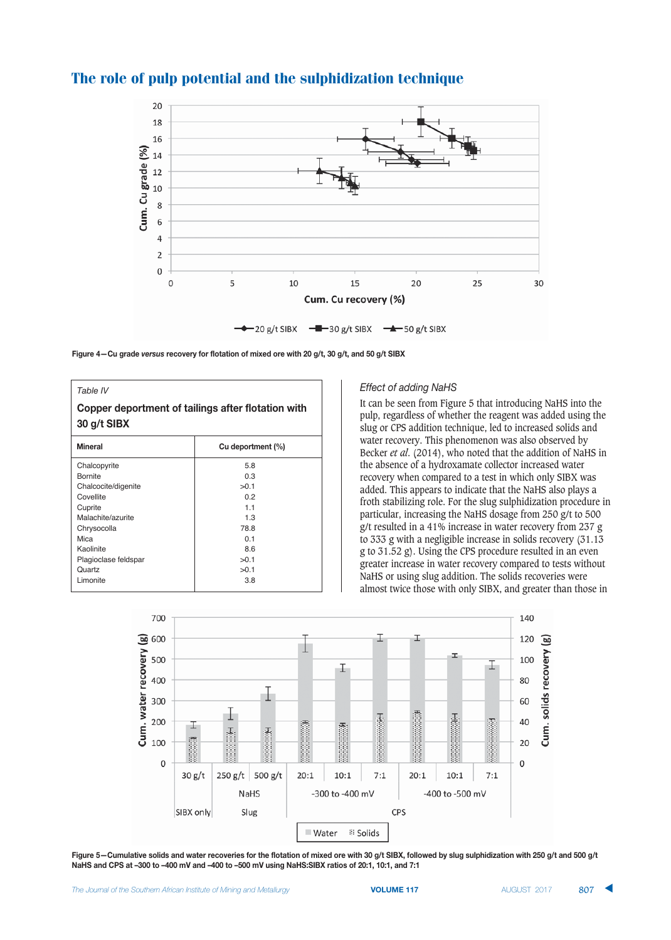

Figure 4-Cu grade versus recovery for flotation of mixed ore with 20 g/t, 30 g/t, and 50 g/t SIBX

| Table IV<br>Copper deportment of tailings after flotation with<br>30 g/t SIBX |                |  |
|-------------------------------------------------------------------------------|----------------|--|
|                                                                               |                |  |
| Chalcopyrite                                                                  | 5.8            |  |
| <b>Bornite</b>                                                                | 0.3            |  |
| Chalcocite/digenite                                                           | >0.1           |  |
| Covellite                                                                     | 02             |  |
| Cuprite                                                                       | 11             |  |
| Malachite/azurite                                                             | 1.3            |  |
| Chrysocolla                                                                   | 788            |  |
| Mica                                                                          | 0 <sub>1</sub> |  |
| Kaolinite                                                                     | 8.6            |  |
| Plagioclase feldspar                                                          | >0.1           |  |
| Quartz                                                                        | >0.1           |  |
| Limonite                                                                      | 3.8            |  |

## Effect of adding NaHS

It can be seen from Figure 5 that introducing NaHS into the pulp, regardless of whether the reagent was added using the slug or CPS addition technique, led to increased solids and water recovery. This phenomenon was also observed by Becker *et al*. (2014), who noted that the addition of NaHS in the absence of a hydroxamate collector increased water recovery when compared to a test in which only SIBX was added. This appears to indicate that the NaHS also plays a froth stabilizing role. For the slug sulphidization procedure in particular, increasing the NaHS dosage from 250 g/t to 500 g/t resulted in a 41% increase in water recovery from 237 g to 333 g with a negligible increase in solids recovery (31.13 g to 31.52 g). Using the CPS procedure resulted in an even greater increase in water recovery compared to tests without NaHS or using slug addition. The solids recoveries were almost twice those with only SIBX, and greater than those in



Figure 5-Cumulative solids and water recoveries for the flotation of mixed ore with 30 g/t SIBX, followed by slug sulphidization with 250 g/t and 500 g/t NaHS and CPS at -300 to -400 mV and -400 to -500 mV using NaHS:SIBX ratios of 20:1, 10:1, and 7:1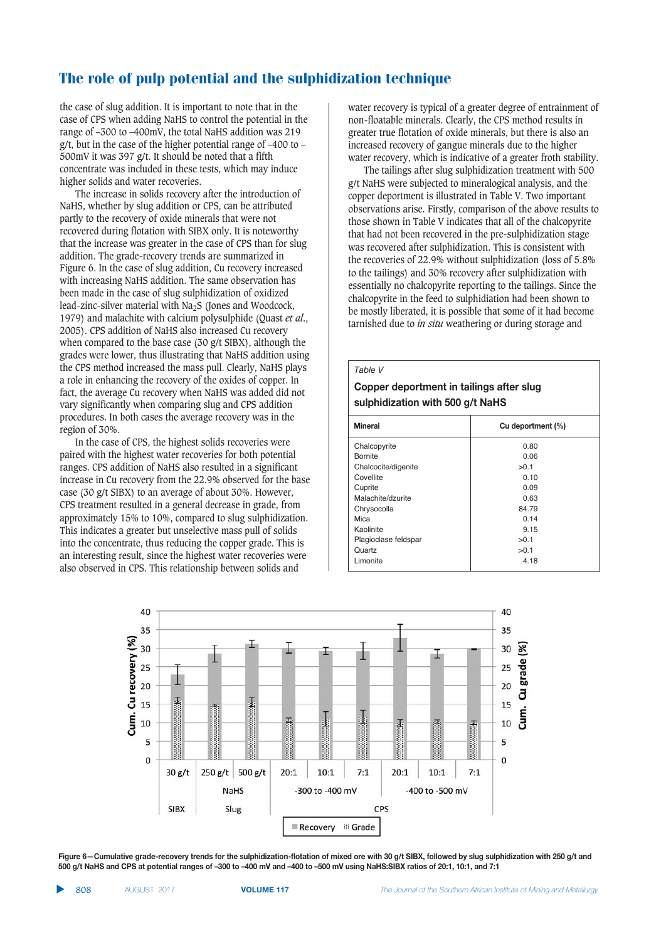the case of slug addition. It is important to note that in the case of CPS when adding NaHS to control the potential in the range of –300 to –400mV, the total NaHS addition was 219 g/t, but in the case of the higher potential range of  $-400$  to  $-$ 500mV it was 397 g/t. It should be noted that a fifth concentrate was included in these tests, which may induce higher solids and water recoveries.

The increase in solids recovery after the introduction of NaHS, whether by slug addition or CPS, can be attributed partly to the recovery of oxide minerals that were not recovered during flotation with SIBX only. It is noteworthy that the increase was greater in the case of CPS than for slug addition. The grade-recovery trends are summarized in Figure 6. In the case of slug addition, Cu recovery increased with increasing NaHS addition. The same observation has been made in the case of slug sulphidization of oxidized lead-zinc-silver material with Na2S (Jones and Woodcock, 1979) and malachite with calcium polysulphide (Quast *et al*., 2005). CPS addition of NaHS also increased Cu recovery when compared to the base case (30 g/t SIBX), although the grades were lower, thus illustrating that NaHS addition using the CPS method increased the mass pull. Clearly, NaHS plays a role in enhancing the recovery of the oxides of copper. In fact, the average Cu recovery when NaHS was added did not vary significantly when comparing slug and CPS addition procedures. In both cases the average recovery was in the region of 30%.

In the case of CPS, the highest solids recoveries were paired with the highest water recoveries for both potential ranges. CPS addition of NaHS also resulted in a significant increase in Cu recovery from the 22.9% observed for the base case (30 g/t SIBX) to an average of about 30%. However, CPS treatment resulted in a general decrease in grade, from approximately 15% to 10%, compared to slug sulphidization. This indicates a greater but unselective mass pull of solids into the concentrate, thus reducing the copper grade. This is an interesting result, since the highest water recoveries were also observed in CPS. This relationship between solids and

water recovery is typical of a greater degree of entrainment of non-floatable minerals. Clearly, the CPS method results in greater true flotation of oxide minerals, but there is also an increased recovery of gangue minerals due to the higher water recovery, which is indicative of a greater froth stability.

The tailings after slug sulphidization treatment with 500 g/t NaHS were subjected to mineralogical analysis, and the copper deportment is illustrated in Table V. Two important observations arise. Firstly, comparison of the above results to those shown in Table V indicates that all of the chalcopyrite that had not been recovered in the pre-sulphidization stage was recovered after sulphidization. This is consistent with the recoveries of 22.9% without sulphidization (loss of 5.8% to the tailings) and 30% recovery after sulphidization with essentially no chalcopyrite reporting to the tailings. Since the chalcopyrite in the feed to sulphidiation had been shown to be mostly liberated, it is possible that some of it had become tarnished due to *in situ* weathering or during storage and

| Table V                                                                      |                   |  |
|------------------------------------------------------------------------------|-------------------|--|
| Copper deportment in tailings after slug<br>sulphidization with 500 g/t NaHS |                   |  |
| <b>Mineral</b>                                                               | Cu deportment (%) |  |
| Chalcopyrite                                                                 | 0.80              |  |
| <b>Bornite</b>                                                               | 0 OG              |  |
| Chalcocite/digenite                                                          | >0.1              |  |
| Covellite                                                                    | 0.10              |  |
| Cuprite                                                                      | 0.09              |  |
| Malachite/dzurite                                                            | 0.63              |  |
| Chrysocolla                                                                  | 84.79             |  |
| Mica                                                                         | 0.14              |  |
| Kaolinite                                                                    | 9.15              |  |
| Plagioclase feldspar                                                         | >0.1              |  |
| Quartz                                                                       | >0.1              |  |
| Limonite                                                                     | 4.18              |  |



Figure 6-Cumulative grade-recovery trends for the sulphidization-flotation of mixed ore with 30 g/t SIBX, followed by slug sulphidization with 250 g/t and 5:00 g/t NaHS and CPS at potential ranges of -300 to -400 mV and -400 to -500 mV using NaHS:SIBX ratios of 20:1, 10:1, and 7:1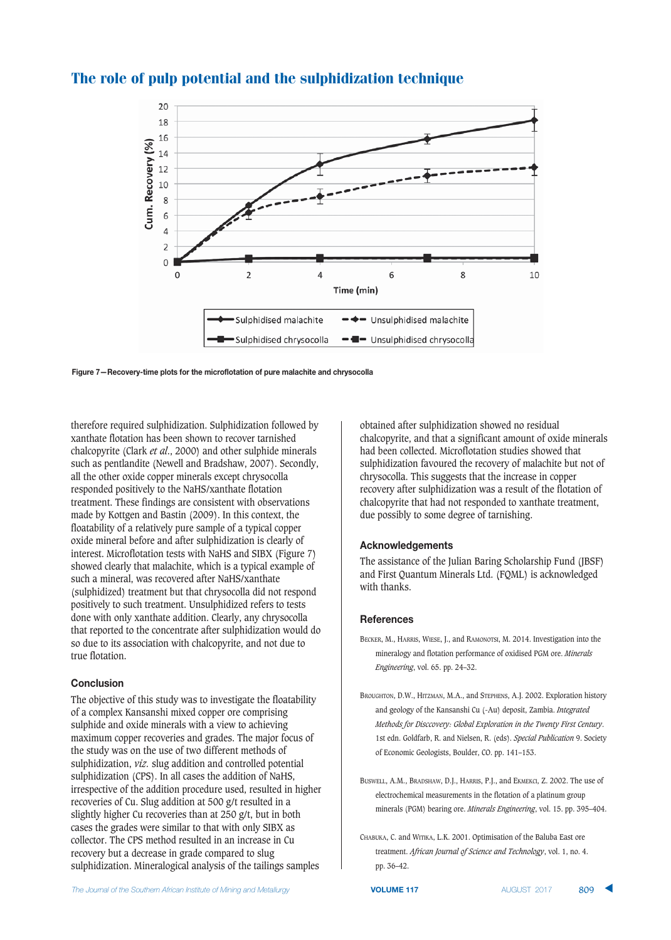

Figure 7-Recovery-time plots for the microflotation of pure malachite and chrysocolla

therefore required sulphidization. Sulphidization followed by xanthate flotation has been shown to recover tarnished chalcopyrite (Clark *et al*., 2000) and other sulphide minerals such as pentlandite (Newell and Bradshaw, 2007). Secondly, all the other oxide copper minerals except chrysocolla responded positively to the NaHS/xanthate flotation treatment. These findings are consistent with observations made by Kottgen and Bastin (2009). In this context, the floatability of a relatively pure sample of a typical copper oxide mineral before and after sulphidization is clearly of interest. Microflotation tests with NaHS and SIBX (Figure 7) showed clearly that malachite, which is a typical example of such a mineral, was recovered after NaHS/xanthate (sulphidized) treatment but that chrysocolla did not respond positively to such treatment. Unsulphidized refers to tests done with only xanthate addition. Clearly, any chrysocolla that reported to the concentrate after sulphidization would do so due to its association with chalcopyrite, and not due to true flotation.

## **Conclusion**

The objective of this study was to investigate the floatability of a complex Kansanshi mixed copper ore comprising sulphide and oxide minerals with a view to achieving maximum copper recoveries and grades. The major focus of the study was on the use of two different methods of sulphidization, *viz.* slug addition and controlled potential sulphidization (CPS). In all cases the addition of NaHS, irrespective of the addition procedure used, resulted in higher recoveries of Cu. Slug addition at 500 g/t resulted in a slightly higher Cu recoveries than at 250 g/t, but in both cases the grades were similar to that with only SIBX as collector. The CPS method resulted in an increase in Cu recovery but a decrease in grade compared to slug sulphidization. Mineralogical analysis of the tailings samples

obtained after sulphidization showed no residual chalcopyrite, and that a significant amount of oxide minerals had been collected. Microflotation studies showed that sulphidization favoured the recovery of malachite but not of chrysocolla. This suggests that the increase in copper recovery after sulphidization was a result of the flotation of chalcopyrite that had not responded to xanthate treatment, due possibly to some degree of tarnishing.

#### **&-15#06/-6)617+**

The assistance of the Julian Baring Scholarship Fund (JBSF) and First Quantum Minerals Ltd. (FQML) is acknowledged with thanks.

#### **References**

- BECKER, M., HARRIS, WIESE, J., and RAMONOTSI, M. 2014. Investigation into the mineralogy and flotation performance of oxidised PGM ore. *Minerals Engineering*, vol. 65. pp. 24–32.
- BROUGHTON, D.W., HITZMAN, M.A., and STEPHENS, A.J. 2002. Exploration history and geology of the Kansanshi Cu (-Au) deposit, Zambia. *Integrated Methods for Disccovery: Global Exploration in the Twenty First Century*. 1st edn. Goldfarb, R. and Nielsen, R. (eds). *Special Publication* 9. Society of Economic Geologists, Boulder, CO. pp. 141–153.
- BUSWELL, A.M., BRADSHAW, D.J., HARRIS, P.J., and EKMEKCI, Z. 2002. The use of electrochemical measurements in the flotation of a platinum group minerals (PGM) bearing ore. *Minerals Engineering*, vol. 15. pp. 395–404.
- CHABUKA, C. and WITIKA, L.K. 2001. Optimisation of the Baluba East ore treatment. *African Journal of Science and Technology*, vol. 1, no. 4. pp. 36–42.

 **VOLUME 117**